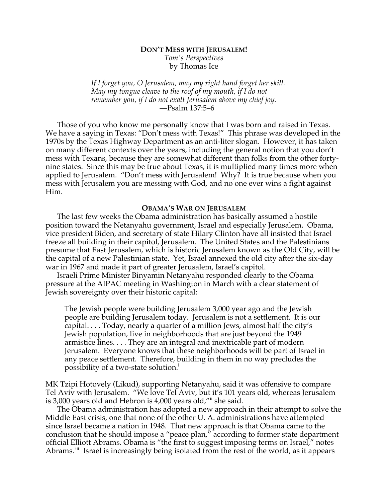# **DON'T MESS WITH JERUSALEM!** *Tom's Perspectives* by Thomas Ice

*If I forget you, O Jerusalem, may my right hand forget her skill. May my tongue cleave to the roof of my mouth, if I do not remember you, if I do not exalt Jerusalem above my chief joy.* —Psalm 137:5–6

Those of you who know me personally know that I was born and raised in Texas. We have a saying in Texas: "Don't mess with Texas!" This phrase was developed in the 1970s by the Texas Highway Department as an anti-liter slogan. However, it has taken on many different contexts over the years, including the general notion that you don't mess with Texans, because they are somewhat different than folks from the other fortynine states. Since this may be true about Texas, it is multiplied many times more when applied to Jerusalem. "Don't mess with Jerusalem! Why? It is true because when you mess with Jerusalem you are messing with God, and no one ever wins a fight against Him.

## **OBAMA'S WAR ON JERUSALEM**

The last few weeks the Obama administration has basically assumed a hostile position toward the Netanyahu government, Israel and especially Jerusalem. Obama, vice president Biden, and secretary of state Hilary Clinton have all insisted that Israel freeze all building in their capitol, Jerusalem. The United States and the Palestinians presume that East Jerusalem, which is historic Jerusalem known as the Old City, will be the capital of a new Palestinian state. Yet, Israel annexed the old city after the six-day war in 1967 and made it part of greater Jerusalem, Israel's capitol.

Israeli Prime Minister Binyamin Netanyahu responded clearly to the Obama pressure at the AIPAC meeting in Washington in March with a clear statement of Jewish sovereignty over their historic capital:

The Jewish people were building Jerusalem 3,000 year ago and the Jewish people are building Jerusalem today. Jerusalem is not a settlement. It is our capital. . . . Today, nearly a quarter of a million Jews, almost half the city's Jewish population, live in neighborhoods that are just beyond the 1949 armistice lines. . . . They are an integral and inextricable part of modern Jerusalem. Everyone knows that these neighborhoods will be part of Israel in any peace settlement. Therefore, building in them in no way precludes the possibility of a two-state solution.<sup>1</sup>

MK Tzipi Hotovely (Likud), supporting Netanyahu, said it was offensive to compare Tel Aviv with Jerusalem. "We love Tel Aviv, but it's 101 years old, whereas Jerusalem is 3,000 years old and Hebron is 4,000 years old,"ii she said.

The Obama administration has adopted a new approach in their attempt to solve the Middle East crisis, one that none of the other U. A. administrations have attempted since Israel became a nation in 1948. That new approach is that Obama came to the conclusion that he should impose a "peace plan," according to former state department official Elliott Abrams. Obama is "the first to suggest imposing terms on Israel," notes Abrams.<sup>iii</sup> Israel is increasingly being isolated from the rest of the world, as it appears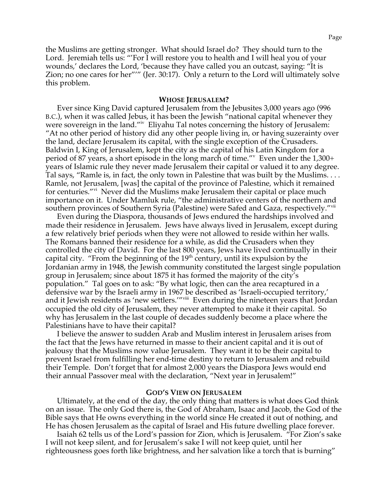the Muslims are getting stronger. What should Israel do? They should turn to the Lord. Jeremiah tells us: "'For I will restore you to health and I will heal you of your wounds,' declares the Lord, 'because they have called you an outcast, saying: "It is Zion; no one cares for her"'" (Jer. 30:17). Only a return to the Lord will ultimately solve this problem.

### **WHOSE JERUSALEM?**

Ever since King David captured Jerusalem from the Jebusites 3,000 years ago (996 B.C.), when it was called Jebus, it has been the Jewish "national capital whenever they were sovereign in the land."<sup>iv</sup> Eliyahu Tal notes concerning the history of Jerusalem: "At no other period of history did any other people living in, or having suzerainty over the land, declare Jerusalem its capital, with the single exception of the Crusaders. Baldwin I, King of Jerusalem, kept the city as the capital of his Latin Kingdom for a period of 87 years, a short episode in the long march of time."<sup>v</sup> Even under the 1,300+ years of Islamic rule they never made Jerusalem their capital or valued it to any degree. Tal says, "Ramle is, in fact, the only town in Palestine that was built by the Muslims. . . . Ramle, not Jerusalem, [was] the capital of the province of Palestine, which it remained for centuries."<sup>vi</sup> Never did the Muslims make Jerusalem their capital or place much importance on it. Under Mamluk rule, "the administrative centers of the northern and southern provinces of Southern Syria (Palestine) were Safed and Gaza, respectively."<sup>vii</sup>

Even during the Diaspora, thousands of Jews endured the hardships involved and made their residence in Jerusalem. Jews have always lived in Jerusalem, except during a few relatively brief periods when they were not allowed to reside within her walls. The Romans banned their residence for a while, as did the Crusaders when they controlled the city of David. For the last 800 years, Jews have lived continually in their capital city. "From the beginning of the  $19<sup>th</sup>$  century, until its expulsion by the Jordanian army in 1948, the Jewish community constituted the largest single population group in Jerusalem; since about 1875 it has formed the majority of the city's population." Tal goes on to ask: "By what logic, then can the area recaptured in a defensive war by the Israeli army in 1967 be described as 'Israeli-occupied territory,' and it Jewish residents as 'new settlers.'"viii Even during the nineteen years that Jordan occupied the old city of Jerusalem, they never attempted to make it their capital. So why has Jerusalem in the last couple of decades suddenly become a place where the Palestinians have to have their capital?

I believe the answer to sudden Arab and Muslim interest in Jerusalem arises from the fact that the Jews have returned in masse to their ancient capital and it is out of jealousy that the Muslims now value Jerusalem. They want it to be their capital to prevent Israel from fulfilling her end-time destiny to return to Jerusalem and rebuild their Temple. Don't forget that for almost 2,000 years the Diaspora Jews would end their annual Passover meal with the declaration, "Next year in Jerusalem!"

#### **GOD'S VIEW ON JERUSALEM**

Ultimately, at the end of the day, the only thing that matters is what does God think on an issue. The only God there is, the God of Abraham, Isaac and Jacob, the God of the Bible says that He owns everything in the world since He created it out of nothing, and He has chosen Jerusalem as the capital of Israel and His future dwelling place forever.

Isaiah 62 tells us of the Lord's passion for Zion, which is Jerusalem. "For Zion's sake I will not keep silent, and for Jerusalem's sake I will not keep quiet, until her righteousness goes forth like brightness, and her salvation like a torch that is burning"